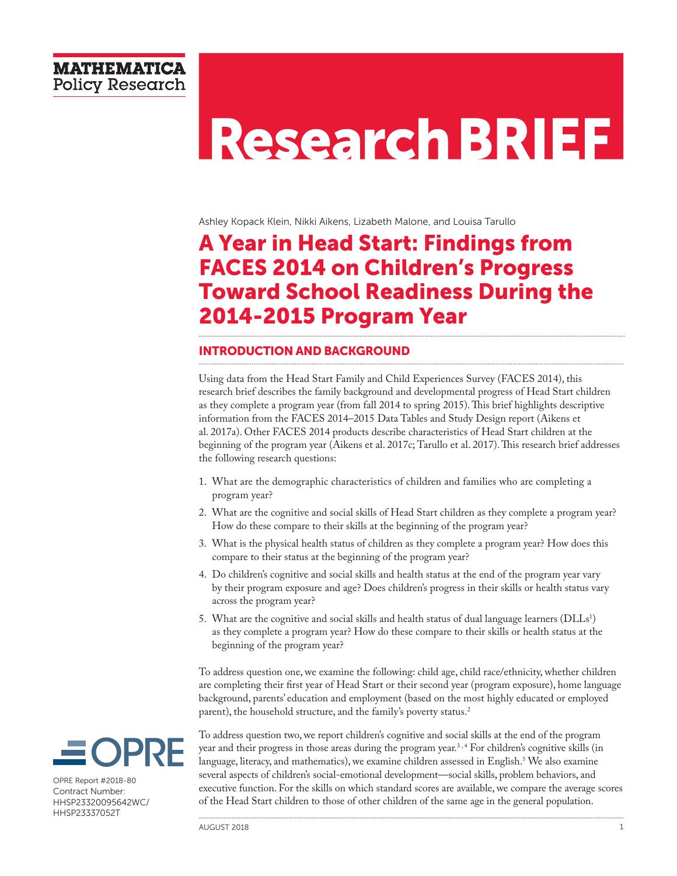# **Research BRIEF**

Ashley Kopack Klein, Nikki Aikens, Lizabeth Malone, and Louisa Tarullo

# A Year in Head Start: Findings from FACES 2014 on Children's Progress Toward School Readiness During the 2014-2015 Program Year

## INTRODUCTION AND BACKGROUND

Using data from the Head Start Family and Child Experiences Survey (FACES 2014), this research brief describes the family background and developmental progress of Head Start children as they complete a program year (from fall 2014 to spring 2015). This brief highlights descriptive information from the FACES 2014–2015 Data Tables and Study Design report (Aikens et al. 2017a). Other FACES 2014 products describe characteristics of Head Start children at the beginning of the program year (Aikens et al. 2017c; Tarullo et al. 2017). This research brief addresses the following research questions:

- 1. What are the demographic characteristics of children and families who are completing a program year?
- 2. What are the cognitive and social skills of Head Start children as they complete a program year? How do these compare to their skills at the beginning of the program year?
- 3. What is the physical health status of children as they complete a program year? How does this compare to their status at the beginning of the program year?
- 4. Do children's cognitive and social skills and health status at the end of the program year vary by their program exposure and age? Does children's progress in their skills or health status vary across the program year?
- 5. What are the cognitive and social skills and health status of dual language learners ( $\rm{DLLs^1)}$ as they complete a program year? How do these compare to their skills or health status at the beginning of the program year?

To address question one, we examine the following: child age, child race/ethnicity, whether children are completing their first year of Head Start or their second year (program exposure), home language background, parents' education and employment (based on the most highly educated or employed parent), the household structure, and the family's poverty status.<sup>2</sup>



OPRE Report #2018-80 Contract Number: HHSP23320095642WC/ HHSP23337052T

To address question two, we report children's cognitive and social skills at the end of the program year and their progress in those areas during the program year.<sup>3,4</sup> For children's cognitive skills (in language, literacy, and mathematics), we examine children assessed in English.5 We also examine several aspects of children's social-emotional development—social skills, problem behaviors, and executive function. For the skills on which standard scores are available, we compare the average scores of the Head Start children to those of other children of the same age in the general population.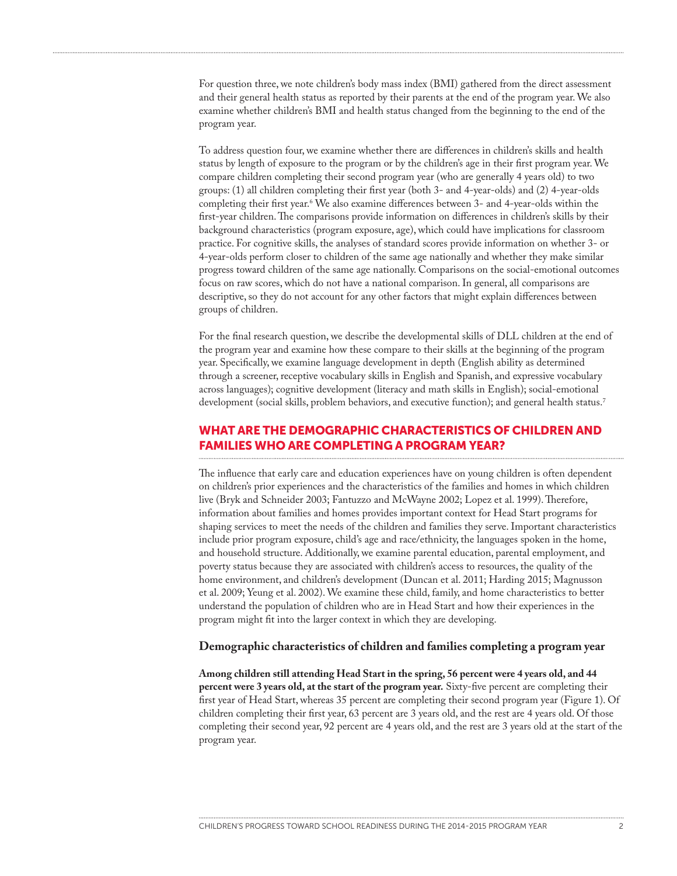For question three, we note children's body mass index (BMI) gathered from the direct assessment and their general health status as reported by their parents at the end of the program year. We also examine whether children's BMI and health status changed from the beginning to the end of the program year.

To address question four, we examine whether there are differences in children's skills and health status by length of exposure to the program or by the children's age in their first program year. We compare children completing their second program year (who are generally 4 years old) to two groups: (1) all children completing their first year (both 3- and 4-year-olds) and (2) 4-year-olds completing their first year.6 We also examine differences between 3- and 4-year-olds within the first-year children. The comparisons provide information on differences in children's skills by their background characteristics (program exposure, age), which could have implications for classroom practice. For cognitive skills, the analyses of standard scores provide information on whether 3- or 4-year-olds perform closer to children of the same age nationally and whether they make similar progress toward children of the same age nationally. Comparisons on the social-emotional outcomes focus on raw scores, which do not have a national comparison. In general, all comparisons are descriptive, so they do not account for any other factors that might explain differences between groups of children.

For the final research question, we describe the developmental skills of DLL children at the end of the program year and examine how these compare to their skills at the beginning of the program year. Specifically, we examine language development in depth (English ability as determined through a screener, receptive vocabulary skills in English and Spanish, and expressive vocabulary across languages); cognitive development (literacy and math skills in English); social-emotional development (social skills, problem behaviors, and executive function); and general health status.<sup>7</sup>

# WHAT ARE THE DEMOGRAPHIC CHARACTERISTICS OF CHILDREN AND FAMILIES WHO ARE COMPLETING A PROGRAM YEAR?

The influence that early care and education experiences have on young children is often dependent on children's prior experiences and the characteristics of the families and homes in which children live (Bryk and Schneider 2003; Fantuzzo and McWayne 2002; Lopez et al. 1999). Therefore, information about families and homes provides important context for Head Start programs for shaping services to meet the needs of the children and families they serve. Important characteristics include prior program exposure, child's age and race/ethnicity, the languages spoken in the home, and household structure. Additionally, we examine parental education, parental employment, and poverty status because they are associated with children's access to resources, the quality of the home environment, and children's development (Duncan et al. 2011; Harding 2015; Magnusson et al. 2009; Yeung et al. 2002). We examine these child, family, and home characteristics to better understand the population of children who are in Head Start and how their experiences in the program might fit into the larger context in which they are developing.

#### **Demographic characteristics of children and families completing a program year**

**Among children still attending Head Start in the spring, 56 percent were 4 years old, and 44 percent were 3 years old, at the start of the program year.** Sixty-five percent are completing their first year of Head Start, whereas 35 percent are completing their second program year (Figure 1). Of children completing their first year, 63 percent are 3 years old, and the rest are 4 years old. Of those completing their second year, 92 percent are 4 years old, and the rest are 3 years old at the start of the program year.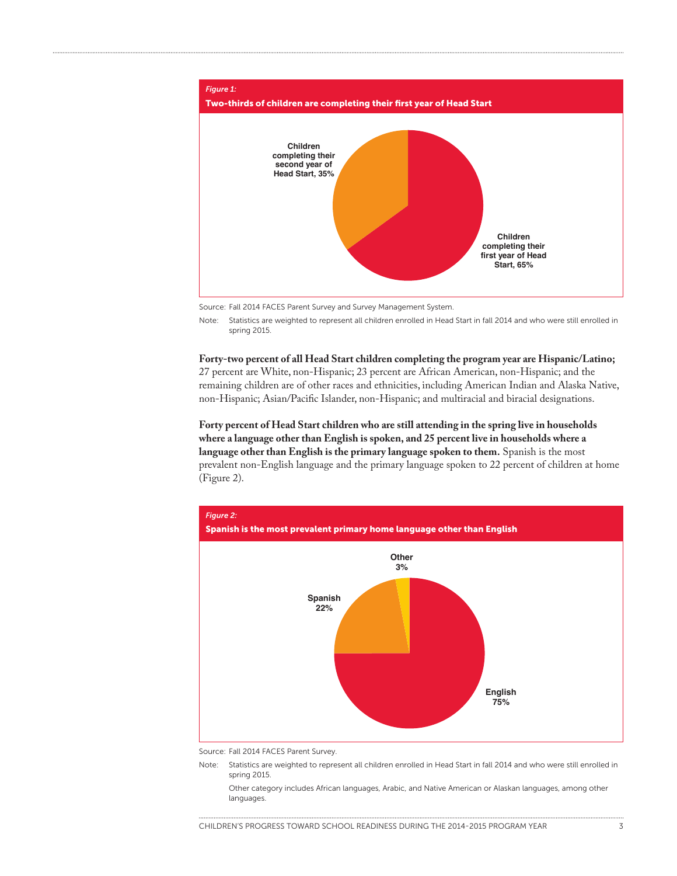

Source: Fall 2014 FACES Parent Survey and Survey Management System.

Note: Statistics are weighted to represent all children enrolled in Head Start in fall 2014 and who were still enrolled in spring 2015.

#### **Forty-two percent of all Head Start children completing the program year are Hispanic/Latino;**

27 percent are White, non-Hispanic; 23 percent are African American, non-Hispanic; and the remaining children are of other races and ethnicities, including American Indian and Alaska Native, non-Hispanic; Asian/Pacific Islander, non-Hispanic; and multiracial and biracial designations.

**Forty percent of Head Start children who are still attending in the spring live in households where a language other than English is spoken, and 25 percent live in households where a language other than English is the primary language spoken to them.** Spanish is the most prevalent non-English language and the primary language spoken to 22 percent of children at home (Figure 2).



Source: Fall 2014 FACES Parent Survey.

Note: Statistics are weighted to represent all children enrolled in Head Start in fall 2014 and who were still enrolled in spring 2015.

Other category includes African languages, Arabic, and Native American or Alaskan languages, among other languages.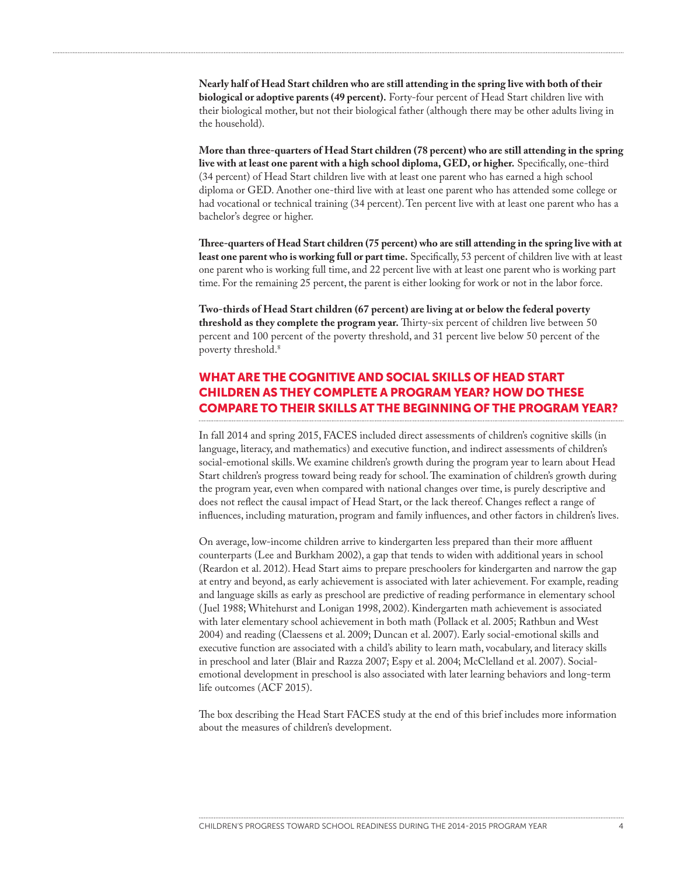**Nearly half of Head Start children who are still attending in the spring live with both of their biological or adoptive parents (49 percent).** Forty-four percent of Head Start children live with their biological mother, but not their biological father (although there may be other adults living in the household).

**More than three-quarters of Head Start children (78 percent) who are still attending in the spring live with at least one parent with a high school diploma, GED, or higher.** Specifically, one-third (34 percent) of Head Start children live with at least one parent who has earned a high school diploma or GED. Another one-third live with at least one parent who has attended some college or had vocational or technical training (34 percent). Ten percent live with at least one parent who has a bachelor's degree or higher.

**Three-quarters of Head Start children (75 percent) who are still attending in the spring live with at**  least one parent who is working full or part time. Specifically, 53 percent of children live with at least one parent who is working full time, and 22 percent live with at least one parent who is working part time. For the remaining 25 percent, the parent is either looking for work or not in the labor force.

**Two-thirds of Head Start children (67 percent) are living at or below the federal poverty threshold as they complete the program year.** Thirty-six percent of children live between 50 percent and 100 percent of the poverty threshold, and 31 percent live below 50 percent of the poverty threshold.<sup>8</sup>

# WHAT ARE THE COGNITIVE AND SOCIAL SKILLS OF HEAD START CHILDREN AS THEY COMPLETE A PROGRAM YEAR? HOW DO THESE COMPARE TO THEIR SKILLS AT THE BEGINNING OF THE PROGRAM YEAR?

In fall 2014 and spring 2015, FACES included direct assessments of children's cognitive skills (in language, literacy, and mathematics) and executive function, and indirect assessments of children's social-emotional skills. We examine children's growth during the program year to learn about Head Start children's progress toward being ready for school. The examination of children's growth during the program year, even when compared with national changes over time, is purely descriptive and does not reflect the causal impact of Head Start, or the lack thereof. Changes reflect a range of influences, including maturation, program and family influences, and other factors in children's lives.

On average, low-income children arrive to kindergarten less prepared than their more affluent counterparts (Lee and Burkham 2002), a gap that tends to widen with additional years in school (Reardon et al. 2012). Head Start aims to prepare preschoolers for kindergarten and narrow the gap at entry and beyond, as early achievement is associated with later achievement. For example, reading and language skills as early as preschool are predictive of reading performance in elementary school ( Juel 1988; Whitehurst and Lonigan 1998, 2002). Kindergarten math achievement is associated with later elementary school achievement in both math (Pollack et al. 2005; Rathbun and West 2004) and reading (Claessens et al. 2009; Duncan et al. 2007). Early social-emotional skills and executive function are associated with a child's ability to learn math, vocabulary, and literacy skills in preschool and later (Blair and Razza 2007; Espy et al. 2004; McClelland et al. 2007). Socialemotional development in preschool is also associated with later learning behaviors and long-term life outcomes (ACF 2015).

The box describing the Head Start FACES study at the end of this brief includes more information about the measures of children's development.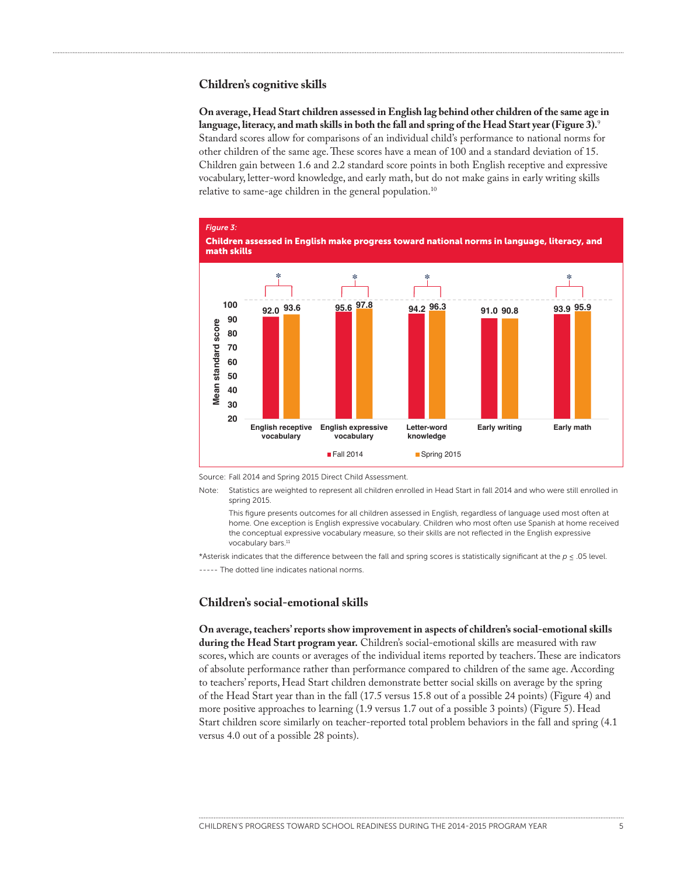#### **Children's cognitive skills**

**On average, Head Start children assessed in English lag behind other children of the same age in language, literacy, and math skills in both the fall and spring of the Head Start year (Figure 3).**<sup>9</sup> Standard scores allow for comparisons of an individual child's performance to national norms for other children of the same age. These scores have a mean of 100 and a standard deviation of 15. Children gain between 1.6 and 2.2 standard score points in both English receptive and expressive vocabulary, letter-word knowledge, and early math, but do not make gains in early writing skills relative to same-age children in the general population.<sup>10</sup>



Source: Fall 2014 and Spring 2015 Direct Child Assessment.

Note: Statistics are weighted to represent all children enrolled in Head Start in fall 2014 and who were still enrolled in spring 2015.

This figure presents outcomes for all children assessed in English, regardless of language used most often at home. One exception is English expressive vocabulary. Children who most often use Spanish at home received the conceptual expressive vocabulary measure, so their skills are not reflected in the English expressive vocabulary bars.<sup>11</sup>

\*Asterisk indicates that the difference between the fall and spring scores is statistically significant at the *p* ≤ .05 level.

----- The dotted line indicates national norms.

#### **Children's social-emotional skills**

**On average, teachers' reports show improvement in aspects of children's social-emotional skills during the Head Start program year.** Children's social-emotional skills are measured with raw scores, which are counts or averages of the individual items reported by teachers. These are indicators of absolute performance rather than performance compared to children of the same age. According to teachers' reports, Head Start children demonstrate better social skills on average by the spring of the Head Start year than in the fall (17.5 versus 15.8 out of a possible 24 points) (Figure 4) and more positive approaches to learning (1.9 versus 1.7 out of a possible 3 points) (Figure 5). Head Start children score similarly on teacher-reported total problem behaviors in the fall and spring (4.1 versus 4.0 out of a possible 28 points).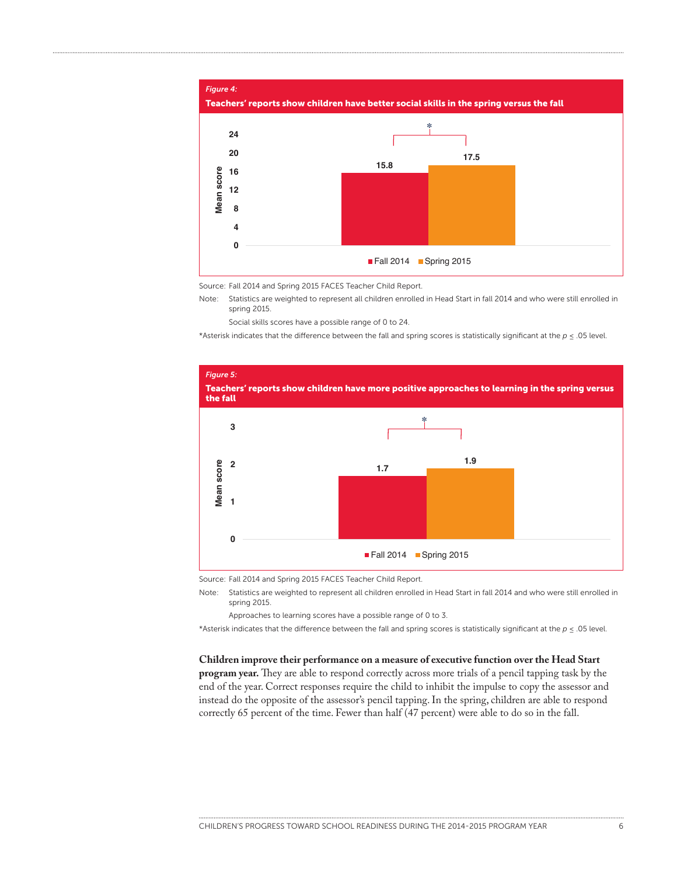

Source: Fall 2014 and Spring 2015 FACES Teacher Child Report.

Note: Statistics are weighted to represent all children enrolled in Head Start in fall 2014 and who were still enrolled in spring 2015.

Social skills scores have a possible range of 0 to 24.

\*Asterisk indicates that the difference between the fall and spring scores is statistically significant at the *p* ≤ .05 level.



Source: Fall 2014 and Spring 2015 FACES Teacher Child Report.

Note: Statistics are weighted to represent all children enrolled in Head Start in fall 2014 and who were still enrolled in spring 2015.

Approaches to learning scores have a possible range of 0 to 3.

\*Asterisk indicates that the difference between the fall and spring scores is statistically significant at the *p* ≤ .05 level.

#### **Children improve their performance on a measure of executive function over the Head Start**

**program year.** They are able to respond correctly across more trials of a pencil tapping task by the end of the year. Correct responses require the child to inhibit the impulse to copy the assessor and instead do the opposite of the assessor's pencil tapping. In the spring, children are able to respond correctly 65 percent of the time. Fewer than half (47 percent) were able to do so in the fall.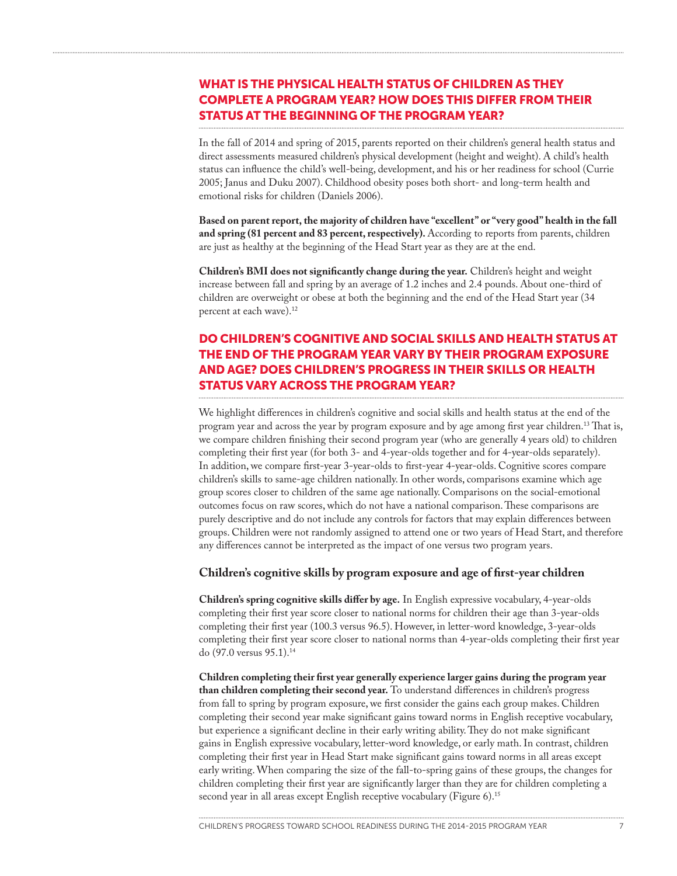# WHAT IS THE PHYSICAL HEALTH STATUS OF CHILDREN AS THEY COMPLETE A PROGRAM YEAR? HOW DOES THIS DIFFER FROM THEIR STATUS AT THE BEGINNING OF THE PROGRAM YEAR?

In the fall of 2014 and spring of 2015, parents reported on their children's general health status and direct assessments measured children's physical development (height and weight). A child's health status can influence the child's well-being, development, and his or her readiness for school (Currie 2005; Janus and Duku 2007). Childhood obesity poses both short- and long-term health and emotional risks for children (Daniels 2006).

**Based on parent report, the majority of children have "excellent" or "very good" health in the fall and spring (81 percent and 83 percent, respectively).** According to reports from parents, children are just as healthy at the beginning of the Head Start year as they are at the end.

**Children's BMI does not significantly change during the year.** Children's height and weight increase between fall and spring by an average of 1.2 inches and 2.4 pounds. About one-third of children are overweight or obese at both the beginning and the end of the Head Start year (34 percent at each wave).<sup>12</sup>

# DO CHILDREN'S COGNITIVE AND SOCIAL SKILLS AND HEALTH STATUS AT THE END OF THE PROGRAM YEAR VARY BY THEIR PROGRAM EXPOSURE AND AGE? DOES CHILDREN'S PROGRESS IN THEIR SKILLS OR HEALTH STATUS VARY ACROSS THE PROGRAM YEAR?

We highlight differences in children's cognitive and social skills and health status at the end of the program year and across the year by program exposure and by age among first year children.13 That is, we compare children finishing their second program year (who are generally 4 years old) to children completing their first year (for both 3- and 4-year-olds together and for 4-year-olds separately). In addition, we compare first-year 3-year-olds to first-year 4-year-olds. Cognitive scores compare children's skills to same-age children nationally. In other words, comparisons examine which age group scores closer to children of the same age nationally. Comparisons on the social-emotional outcomes focus on raw scores, which do not have a national comparison. These comparisons are purely descriptive and do not include any controls for factors that may explain differences between groups. Children were not randomly assigned to attend one or two years of Head Start, and therefore any differences cannot be interpreted as the impact of one versus two program years.

#### **Children's cognitive skills by program exposure and age of first-year children**

**Children's spring cognitive skills differ by age.** In English expressive vocabulary, 4-year-olds completing their first year score closer to national norms for children their age than 3-year-olds completing their first year (100.3 versus 96.5). However, in letter-word knowledge, 3-year-olds completing their first year score closer to national norms than 4-year-olds completing their first year do (97.0 versus 95.1).14

**Children completing their first year generally experience larger gains during the program year than children completing their second year.** To understand differences in children's progress from fall to spring by program exposure, we first consider the gains each group makes. Children completing their second year make significant gains toward norms in English receptive vocabulary, but experience a significant decline in their early writing ability. They do not make significant gains in English expressive vocabulary, letter-word knowledge, or early math. In contrast, children completing their first year in Head Start make significant gains toward norms in all areas except early writing. When comparing the size of the fall-to-spring gains of these groups, the changes for children completing their first year are significantly larger than they are for children completing a second year in all areas except English receptive vocabulary (Figure 6).<sup>15</sup>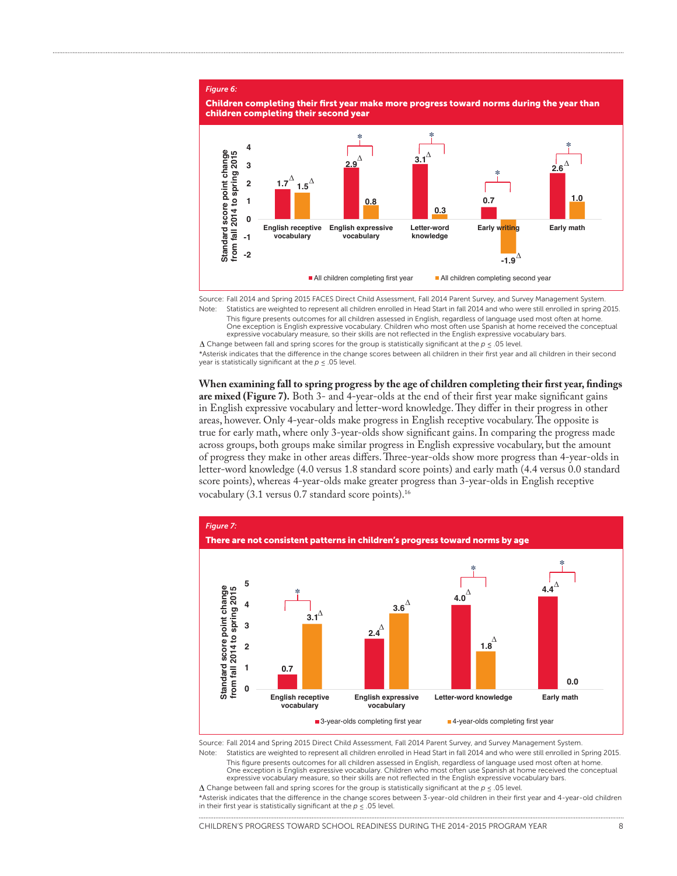#### *Figure 6:*



Source: Fall 2014 and Spring 2015 FACES Direct Child Assessment, Fall 2014 Parent Survey, and Survey Management System. Note: Statistics are weighted to represent all children enrolled in Head Start in fall 2014 and who were still enrolled in spring 2015.

This figure presents outcomes for all children assessed in English, regardless of language used most often at home. One exception is English expressive vocabulary. Children who most often use Spanish at home received the conceptual expressive vocabulary measure, so their skills are not reflected in the English expressive vocabulary bars.

Change between fall and spring scores for the group is statistically significant at the *p* ≤ .05 level.

\*Asterisk indicates that the difference in the change scores between all children in their first year and all children in their second year is statistically significant at the *p* ≤ .05 level.

**When examining fall to spring progress by the age of children completing their first year, findings are mixed (Figure 7).** Both 3- and 4-year-olds at the end of their first year make significant gains in English expressive vocabulary and letter-word knowledge. They differ in their progress in other areas, however. Only 4-year-olds make progress in English receptive vocabulary. The opposite is true for early math, where only 3-year-olds show significant gains. In comparing the progress made across groups, both groups make similar progress in English expressive vocabulary, but the amount of progress they make in other areas differs. Three-year-olds show more progress than 4-year-olds in letter-word knowledge (4.0 versus 1.8 standard score points) and early math (4.4 versus 0.0 standard score points), whereas 4-year-olds make greater progress than 3-year-olds in English receptive vocabulary (3.1 versus 0.7 standard score points).16



Source: Fall 2014 and Spring 2015 Direct Child Assessment, Fall 2014 Parent Survey, and Survey Management System. Statistics are weighted to represent all children enrolled in Head Start in fall 2014 and who were still enrolled in Spring 2015.

This figure presents outcomes for all children assessed in English, regardless of language used most often at home. One exception is English expressive vocabulary. Children who most often use Spanish at home received the conceptual

expressive vocabulary measure, so their skills are not reflected in the English expressive vocabulary bars. Change between fall and spring scores for the group is statistically significant at the *p* ≤ .05 level.

\*Asterisk indicates that the difference in the change scores between 3-year-old children in their first year and 4-year-old children in their first year is statistically significant at the  $p \leq 0.05$  level.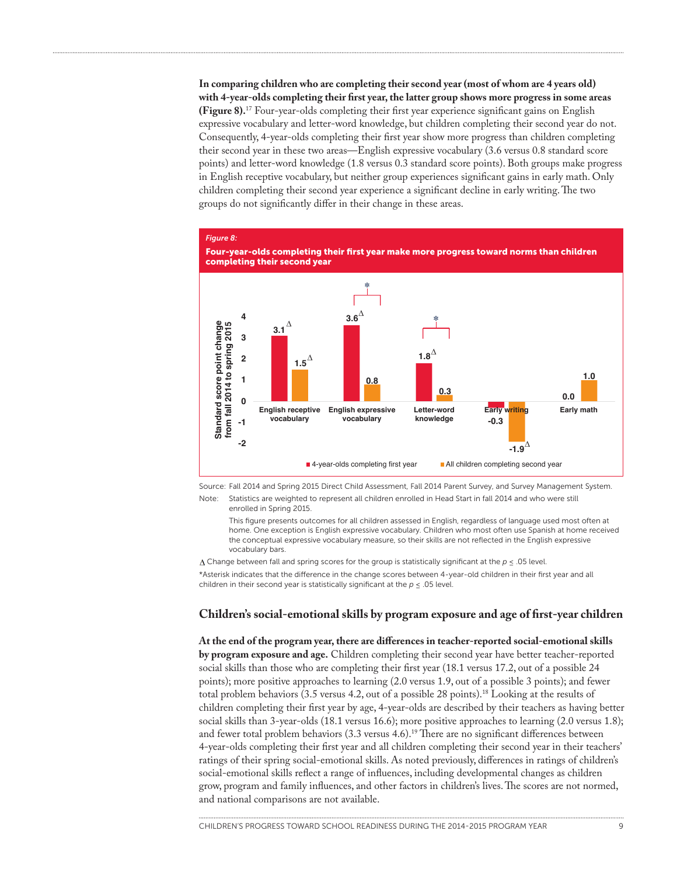**In comparing children who are completing their second year (most of whom are 4 years old) with 4-year-olds completing their first year, the latter group shows more progress in some areas (Figure 8).**17 Four-year-olds completing their first year experience significant gains on English expressive vocabulary and letter-word knowledge, but children completing their second year do not. Consequently, 4-year-olds completing their first year show more progress than children completing their second year in these two areas—English expressive vocabulary (3.6 versus 0.8 standard score points) and letter-word knowledge (1.8 versus 0.3 standard score points). Both groups make progress in English receptive vocabulary, but neither group experiences significant gains in early math. Only children completing their second year experience a significant decline in early writing. The two groups do not significantly differ in their change in these areas.





Source: Fall 2014 and Spring 2015 Direct Child Assessment, Fall 2014 Parent Survey, and Survey Management System.

Note: Statistics are weighted to represent all children enrolled in Head Start in fall 2014 and who were still enrolled in Spring 2015.

This figure presents outcomes for all children assessed in English, regardless of language used most often at home. One exception is English expressive vocabulary. Children who most often use Spanish at home received the conceptual expressive vocabulary measure, so their skills are not reflected in the English expressive vocabulary bars.

 $\Delta$  Change between fall and spring scores for the group is statistically significant at the  $p \leq .05$  level. \*Asterisk indicates that the difference in the change scores between 4-year-old children in their first year and all children in their second year is statistically significant at the  $p \le 0.05$  level.

#### **Children's social-emotional skills by program exposure and age of first-year children**

**At the end of the program year, there are differences in teacher-reported social-emotional skills by program exposure and age.** Children completing their second year have better teacher-reported social skills than those who are completing their first year (18.1 versus 17.2, out of a possible 24 points); more positive approaches to learning (2.0 versus 1.9, out of a possible 3 points); and fewer total problem behaviors (3.5 versus 4.2, out of a possible 28 points).18 Looking at the results of children completing their first year by age, 4-year-olds are described by their teachers as having better social skills than 3-year-olds (18.1 versus 16.6); more positive approaches to learning (2.0 versus 1.8); and fewer total problem behaviors (3.3 versus 4.6).<sup>19</sup> There are no significant differences between 4-year-olds completing their first year and all children completing their second year in their teachers' ratings of their spring social-emotional skills. As noted previously, differences in ratings of children's social-emotional skills reflect a range of influences, including developmental changes as children grow, program and family influences, and other factors in children's lives. The scores are not normed, and national comparisons are not available.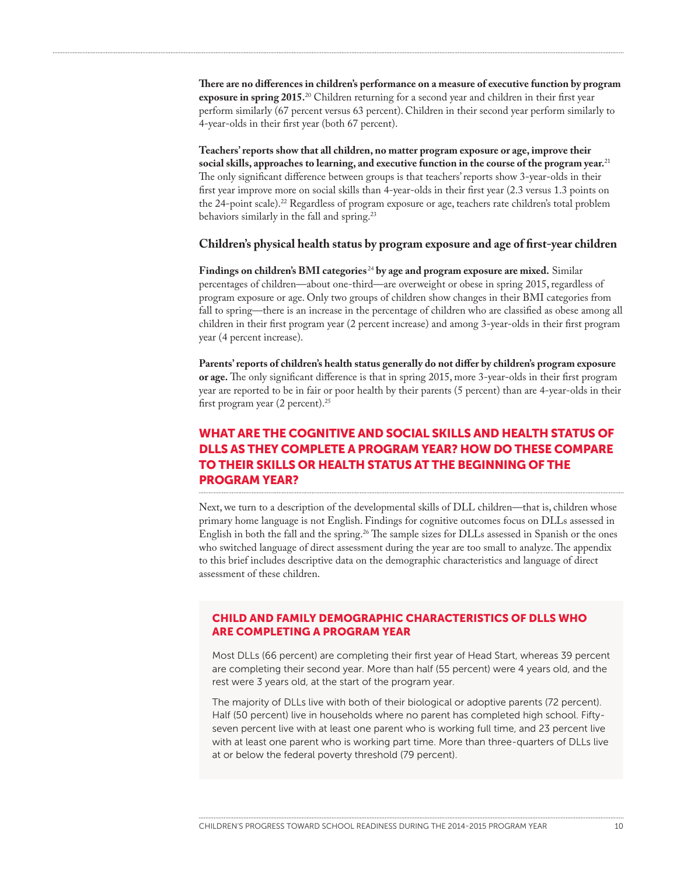**There are no differences in children's performance on a measure of executive function by program exposure in spring 2015.**20 Children returning for a second year and children in their first year perform similarly (67 percent versus 63 percent). Children in their second year perform similarly to 4-year-olds in their first year (both 67 percent).

**Teachers' reports show that all children, no matter program exposure or age, improve their social skills, approaches to learning, and executive function in the course of the program year.**<sup>21</sup> The only significant difference between groups is that teachers' reports show 3-year-olds in their first year improve more on social skills than 4-year-olds in their first year (2.3 versus 1.3 points on the 24-point scale).22 Regardless of program exposure or age, teachers rate children's total problem behaviors similarly in the fall and spring.<sup>23</sup>

#### **Children's physical health status by program exposure and age of first-year children**

**Findings on children's BMI categories** <sup>24</sup> **by age and program exposure are mixed.** Similar percentages of children—about one-third—are overweight or obese in spring 2015, regardless of program exposure or age. Only two groups of children show changes in their BMI categories from fall to spring—there is an increase in the percentage of children who are classified as obese among all children in their first program year (2 percent increase) and among 3-year-olds in their first program year (4 percent increase).

**Parents' reports of children's health status generally do not differ by children's program exposure or age.** The only significant difference is that in spring 2015, more 3-year-olds in their first program year are reported to be in fair or poor health by their parents (5 percent) than are 4-year-olds in their first program year (2 percent).25

# WHAT ARE THE COGNITIVE AND SOCIAL SKILLS AND HEALTH STATUS OF DLLS AS THEY COMPLETE A PROGRAM YEAR? HOW DO THESE COMPARE TO THEIR SKILLS OR HEALTH STATUS AT THE BEGINNING OF THE PROGRAM YEAR?

Next, we turn to a description of the developmental skills of DLL children—that is, children whose primary home language is not English. Findings for cognitive outcomes focus on DLLs assessed in English in both the fall and the spring.26 The sample sizes for DLLs assessed in Spanish or the ones who switched language of direct assessment during the year are too small to analyze. The appendix to this brief includes descriptive data on the demographic characteristics and language of direct assessment of these children.

### CHILD AND FAMILY DEMOGRAPHIC CHARACTERISTICS OF DLLS WHO ARE COMPLETING A PROGRAM YEAR

Most DLLs (66 percent) are completing their first year of Head Start, whereas 39 percent are completing their second year. More than half (55 percent) were 4 years old, and the rest were 3 years old, at the start of the program year.

The majority of DLLs live with both of their biological or adoptive parents (72 percent). Half (50 percent) live in households where no parent has completed high school. Fiftyseven percent live with at least one parent who is working full time, and 23 percent live with at least one parent who is working part time. More than three-quarters of DLLs live at or below the federal poverty threshold (79 percent).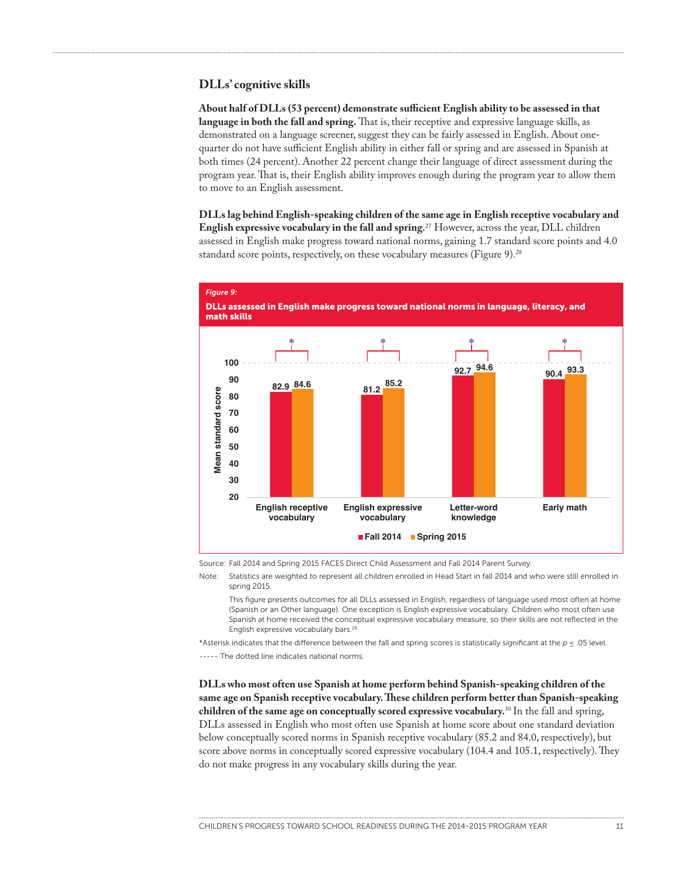#### **DLLs' cognitive skills**

**About half of DLLs (53 percent) demonstrate sufficient English ability to be assessed in that language in both the fall and spring.** That is, their receptive and expressive language skills, as demonstrated on a language screener, suggest they can be fairly assessed in English. About onequarter do not have sufficient English ability in either fall or spring and are assessed in Spanish at both times (24 percent). Another 22 percent change their language of direct assessment during the program year. That is, their English ability improves enough during the program year to allow them to move to an English assessment.

**DLLs lag behind English-speaking children of the same age in English receptive vocabulary and English expressive vocabulary in the fall and spring.**27 However, across the year, DLL children assessed in English make progress toward national norms, gaining 1.7 standard score points and 4.0 standard score points, respectively, on these vocabulary measures (Figure 9).<sup>28</sup>



Source: Fall 2014 and Spring 2015 FACES Direct Child Assessment and Fall 2014 Parent Survey.

Note: Statistics are weighted to represent all children enrolled in Head Start in fall 2014 and who were still enrolled in spring 2015.

This figure presents outcomes for all DLLs assessed in English, regardless of language used most often at home (Spanish or an Other language). One exception is English expressive vocabulary. Children who most often use Spanish at home received the conceptual expressive vocabulary measure, so their skills are not reflected in the English expressive vocabulary bars.29

\*Asterisk indicates that the difference between the fall and spring scores is statistically significant at the *p* ≤ .05 level.

----- The dotted line indicates national norms.

**DLLs who most often use Spanish at home perform behind Spanish-speaking children of the same age on Spanish receptive vocabulary. These children perform better than Spanish-speaking children of the same age on conceptually scored expressive vocabulary.**<sup>30</sup> In the fall and spring, DLLs assessed in English who most often use Spanish at home score about one standard deviation below conceptually scored norms in Spanish receptive vocabulary (85.2 and 84.0, respectively), but score above norms in conceptually scored expressive vocabulary (104.4 and 105.1, respectively). They do not make progress in any vocabulary skills during the year.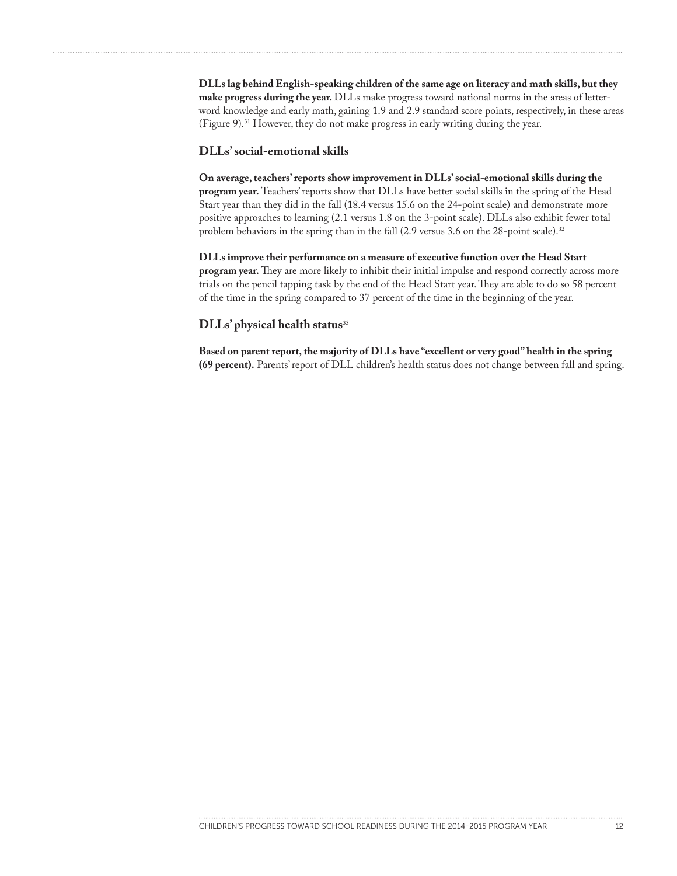**DLLs lag behind English-speaking children of the same age on literacy and math skills, but they make progress during the year.** DLLs make progress toward national norms in the areas of letterword knowledge and early math, gaining 1.9 and 2.9 standard score points, respectively, in these areas (Figure 9).31 However, they do not make progress in early writing during the year.

#### **DLLs' social-emotional skills**

**On average, teachers' reports show improvement in DLLs' social-emotional skills during the program year.** Teachers' reports show that DLLs have better social skills in the spring of the Head Start year than they did in the fall (18.4 versus 15.6 on the 24-point scale) and demonstrate more positive approaches to learning (2.1 versus 1.8 on the 3-point scale). DLLs also exhibit fewer total problem behaviors in the spring than in the fall (2.9 versus 3.6 on the 28-point scale).<sup>32</sup>

**DLLs improve their performance on a measure of executive function over the Head Start program year.** They are more likely to inhibit their initial impulse and respond correctly across more trials on the pencil tapping task by the end of the Head Start year. They are able to do so 58 percent of the time in the spring compared to 37 percent of the time in the beginning of the year.

#### **DLLs' physical health status**<sup>33</sup>

**Based on parent report, the majority of DLLs have "excellent or very good" health in the spring (69 percent).** Parents' report of DLL children's health status does not change between fall and spring.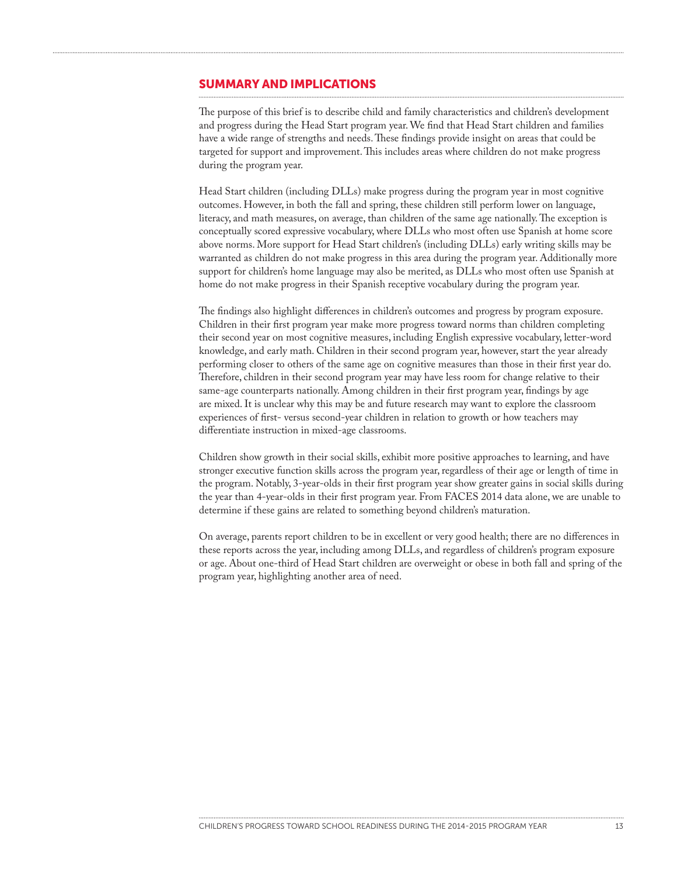#### SUMMARY AND IMPLICATIONS

The purpose of this brief is to describe child and family characteristics and children's development and progress during the Head Start program year. We find that Head Start children and families have a wide range of strengths and needs. These findings provide insight on areas that could be targeted for support and improvement. This includes areas where children do not make progress during the program year.

Head Start children (including DLLs) make progress during the program year in most cognitive outcomes. However, in both the fall and spring, these children still perform lower on language, literacy, and math measures, on average, than children of the same age nationally. The exception is conceptually scored expressive vocabulary, where DLLs who most often use Spanish at home score above norms. More support for Head Start children's (including DLLs) early writing skills may be warranted as children do not make progress in this area during the program year. Additionally more support for children's home language may also be merited, as DLLs who most often use Spanish at home do not make progress in their Spanish receptive vocabulary during the program year.

The findings also highlight differences in children's outcomes and progress by program exposure. Children in their first program year make more progress toward norms than children completing their second year on most cognitive measures, including English expressive vocabulary, letter-word knowledge, and early math. Children in their second program year, however, start the year already performing closer to others of the same age on cognitive measures than those in their first year do. Therefore, children in their second program year may have less room for change relative to their same-age counterparts nationally. Among children in their first program year, findings by age are mixed. It is unclear why this may be and future research may want to explore the classroom experiences of first- versus second-year children in relation to growth or how teachers may differentiate instruction in mixed-age classrooms.

Children show growth in their social skills, exhibit more positive approaches to learning, and have stronger executive function skills across the program year, regardless of their age or length of time in the program. Notably, 3-year-olds in their first program year show greater gains in social skills during the year than 4-year-olds in their first program year. From FACES 2014 data alone, we are unable to determine if these gains are related to something beyond children's maturation.

On average, parents report children to be in excellent or very good health; there are no differences in these reports across the year, including among DLLs, and regardless of children's program exposure or age. About one-third of Head Start children are overweight or obese in both fall and spring of the program year, highlighting another area of need.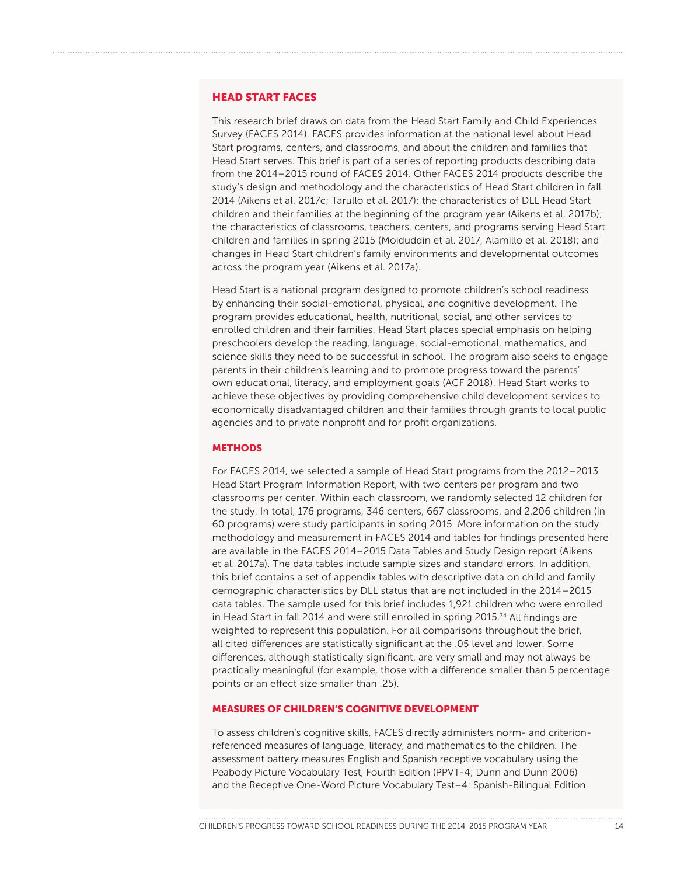#### HEAD START FACES

This research brief draws on data from the Head Start Family and Child Experiences Survey (FACES 2014). FACES provides information at the national level about Head Start programs, centers, and classrooms, and about the children and families that Head Start serves. This brief is part of a series of reporting products describing data from the 2014–2015 round of FACES 2014. Other FACES 2014 products describe the study's design and methodology and the characteristics of Head Start children in fall 2014 (Aikens et al. 2017c; Tarullo et al. 2017); the characteristics of DLL Head Start children and their families at the beginning of the program year (Aikens et al. 2017b); the characteristics of classrooms, teachers, centers, and programs serving Head Start children and families in spring 2015 (Moiduddin et al. 2017, Alamillo et al. 2018); and changes in Head Start children's family environments and developmental outcomes across the program year (Aikens et al. 2017a).

Head Start is a national program designed to promote children's school readiness by enhancing their social-emotional, physical, and cognitive development. The program provides educational, health, nutritional, social, and other services to enrolled children and their families. Head Start places special emphasis on helping preschoolers develop the reading, language, social-emotional, mathematics, and science skills they need to be successful in school. The program also seeks to engage parents in their children's learning and to promote progress toward the parents' own educational, literacy, and employment goals (ACF 2018). Head Start works to achieve these objectives by providing comprehensive child development services to economically disadvantaged children and their families through grants to local public agencies and to private nonprofit and for profit organizations.

#### **METHODS**

For FACES 2014, we selected a sample of Head Start programs from the 2012–2013 Head Start Program Information Report, with two centers per program and two classrooms per center. Within each classroom, we randomly selected 12 children for the study. In total, 176 programs, 346 centers, 667 classrooms, and 2,206 children (in 60 programs) were study participants in spring 2015. More information on the study methodology and measurement in FACES 2014 and tables for findings presented here are available in the FACES 2014–2015 Data Tables and Study Design report (Aikens et al. 2017a). The data tables include sample sizes and standard errors. In addition, this brief contains a set of appendix tables with descriptive data on child and family demographic characteristics by DLL status that are not included in the 2014–2015 data tables. The sample used for this brief includes 1,921 children who were enrolled in Head Start in fall 2014 and were still enrolled in spring 2015. $34$  All findings are weighted to represent this population. For all comparisons throughout the brief, all cited differences are statistically significant at the .05 level and lower. Some differences, although statistically significant, are very small and may not always be practically meaningful (for example, those with a difference smaller than 5 percentage points or an effect size smaller than .25).

#### MEASURES OF CHILDREN'S COGNITIVE DEVELOPMENT

To assess children's cognitive skills, FACES directly administers norm- and criterionreferenced measures of language, literacy, and mathematics to the children. The assessment battery measures English and Spanish receptive vocabulary using the Peabody Picture Vocabulary Test, Fourth Edition (PPVT-4; Dunn and Dunn 2006) and the Receptive One-Word Picture Vocabulary Test–4: Spanish-Bilingual Edition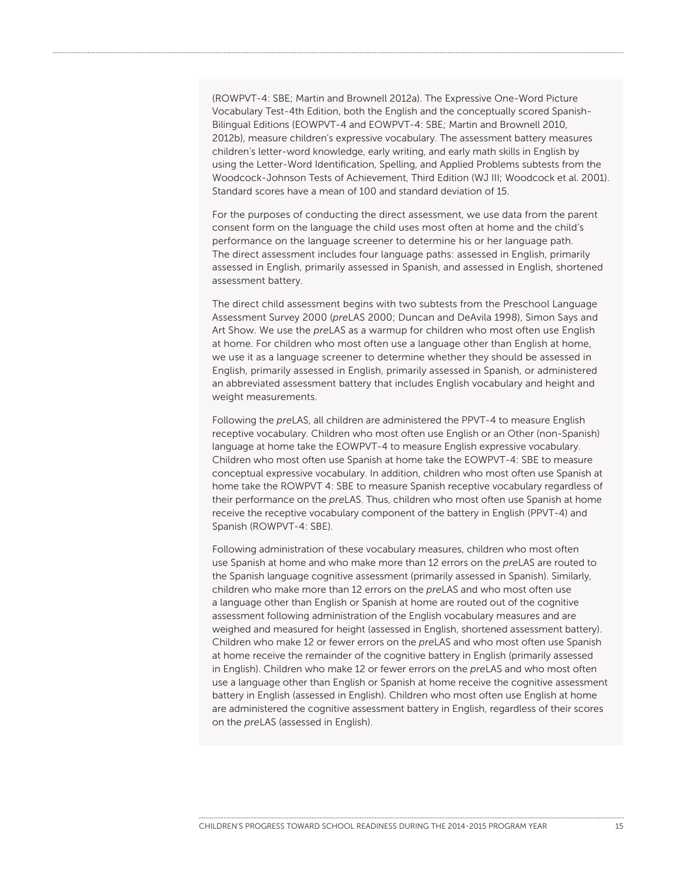(ROWPVT-4: SBE; Martin and Brownell 2012a). The Expressive One-Word Picture Vocabulary Test-4th Edition, both the English and the conceptually scored Spanish-Bilingual Editions (EOWPVT-4 and EOWPVT-4: SBE; Martin and Brownell 2010, 2012b), measure children's expressive vocabulary. The assessment battery measures children's letter-word knowledge, early writing, and early math skills in English by using the Letter-Word Identification, Spelling, and Applied Problems subtests from the Woodcock-Johnson Tests of Achievement, Third Edition (WJ III; Woodcock et al. 2001). Standard scores have a mean of 100 and standard deviation of 15.

For the purposes of conducting the direct assessment, we use data from the parent consent form on the language the child uses most often at home and the child's performance on the language screener to determine his or her language path. The direct assessment includes four language paths: assessed in English, primarily assessed in English, primarily assessed in Spanish, and assessed in English, shortened assessment battery.

The direct child assessment begins with two subtests from the Preschool Language Assessment Survey 2000 (*pre*LAS 2000; Duncan and DeAvila 1998), Simon Says and Art Show. We use the *pre*LAS as a warmup for children who most often use English at home. For children who most often use a language other than English at home, we use it as a language screener to determine whether they should be assessed in English, primarily assessed in English, primarily assessed in Spanish, or administered an abbreviated assessment battery that includes English vocabulary and height and weight measurements.

Following the *pre*LAS, all children are administered the PPVT-4 to measure English receptive vocabulary. Children who most often use English or an Other (non-Spanish) language at home take the EOWPVT-4 to measure English expressive vocabulary. Children who most often use Spanish at home take the EOWPVT-4: SBE to measure conceptual expressive vocabulary. In addition, children who most often use Spanish at home take the ROWPVT 4: SBE to measure Spanish receptive vocabulary regardless of their performance on the *pre*LAS. Thus, children who most often use Spanish at home receive the receptive vocabulary component of the battery in English (PPVT-4) and Spanish (ROWPVT-4: SBE).

Following administration of these vocabulary measures, children who most often use Spanish at home and who make more than 12 errors on the *pre*LAS are routed to the Spanish language cognitive assessment (primarily assessed in Spanish). Similarly, children who make more than 12 errors on the *pre*LAS and who most often use a language other than English or Spanish at home are routed out of the cognitive assessment following administration of the English vocabulary measures and are weighed and measured for height (assessed in English, shortened assessment battery). Children who make 12 or fewer errors on the *pre*LAS and who most often use Spanish at home receive the remainder of the cognitive battery in English (primarily assessed in English). Children who make 12 or fewer errors on the *pre*LAS and who most often use a language other than English or Spanish at home receive the cognitive assessment battery in English (assessed in English). Children who most often use English at home are administered the cognitive assessment battery in English, regardless of their scores on the *pre*LAS (assessed in English).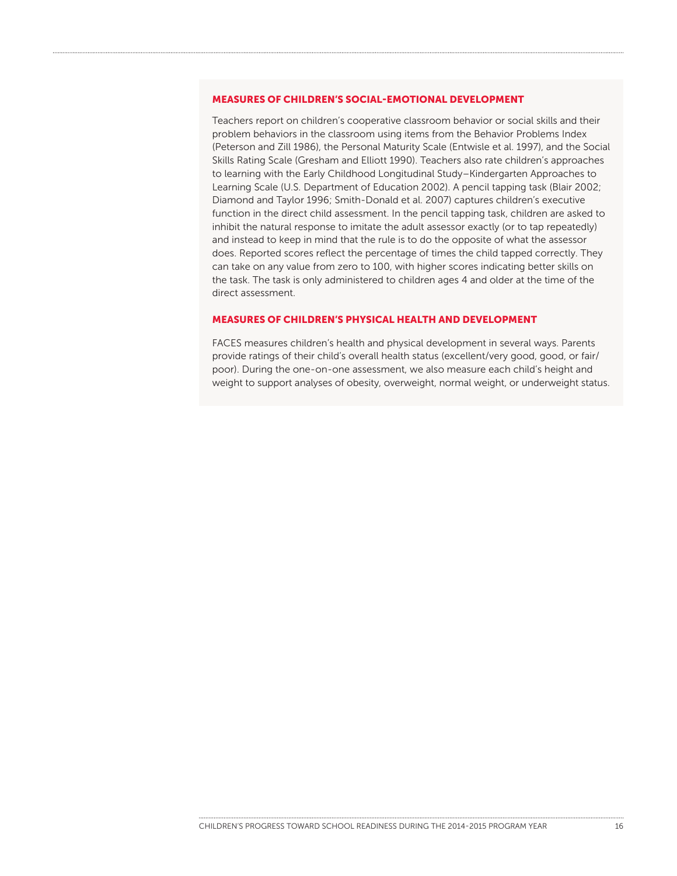#### MEASURES OF CHILDREN'S SOCIAL-EMOTIONAL DEVELOPMENT

Teachers report on children's cooperative classroom behavior or social skills and their problem behaviors in the classroom using items from the Behavior Problems Index (Peterson and Zill 1986), the Personal Maturity Scale (Entwisle et al. 1997), and the Social Skills Rating Scale (Gresham and Elliott 1990). Teachers also rate children's approaches to learning with the Early Childhood Longitudinal Study–Kindergarten Approaches to Learning Scale (U.S. Department of Education 2002). A pencil tapping task (Blair 2002; Diamond and Taylor 1996; Smith-Donald et al. 2007) captures children's executive function in the direct child assessment. In the pencil tapping task, children are asked to inhibit the natural response to imitate the adult assessor exactly (or to tap repeatedly) and instead to keep in mind that the rule is to do the opposite of what the assessor does. Reported scores reflect the percentage of times the child tapped correctly. They can take on any value from zero to 100, with higher scores indicating better skills on the task. The task is only administered to children ages 4 and older at the time of the direct assessment.

#### MEASURES OF CHILDREN'S PHYSICAL HEALTH AND DEVELOPMENT

FACES measures children's health and physical development in several ways. Parents provide ratings of their child's overall health status (excellent/very good, good, or fair/ poor). During the one-on-one assessment, we also measure each child's height and weight to support analyses of obesity, overweight, normal weight, or underweight status.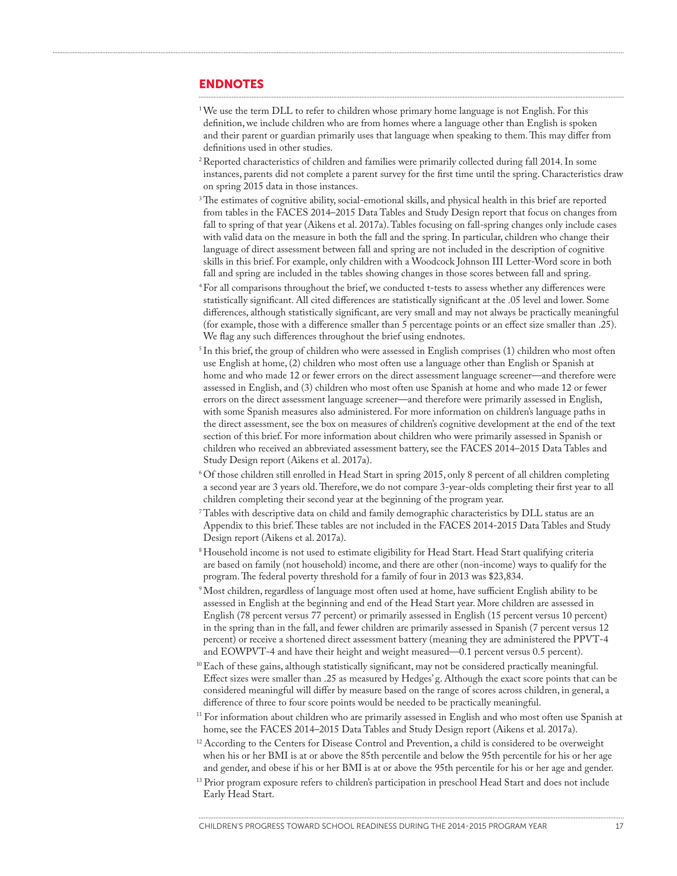#### ENDNOTES

- <sup>1</sup>We use the term DLL to refer to children whose primary home language is not English. For this definition, we include children who are from homes where a language other than English is spoken and their parent or guardian primarily uses that language when speaking to them. This may differ from definitions used in other studies.
- <sup>2</sup> Reported characteristics of children and families were primarily collected during fall 2014. In some instances, parents did not complete a parent survey for the first time until the spring. Characteristics draw on spring 2015 data in those instances.
- <sup>3</sup>The estimates of cognitive ability, social-emotional skills, and physical health in this brief are reported from tables in the FACES 2014–2015 Data Tables and Study Design report that focus on changes from fall to spring of that year (Aikens et al. 2017a). Tables focusing on fall-spring changes only include cases with valid data on the measure in both the fall and the spring. In particular, children who change their language of direct assessment between fall and spring are not included in the description of cognitive skills in this brief. For example, only children with a Woodcock Johnson III Letter-Word score in both fall and spring are included in the tables showing changes in those scores between fall and spring.
- <sup>4</sup> For all comparisons throughout the brief, we conducted t-tests to assess whether any differences were statistically significant. All cited differences are statistically significant at the .05 level and lower. Some differences, although statistically significant, are very small and may not always be practically meaningful (for example, those with a difference smaller than 5 percentage points or an effect size smaller than .25). We flag any such differences throughout the brief using endnotes.
- $5$ In this brief, the group of children who were assessed in English comprises (1) children who most often use English at home, (2) children who most often use a language other than English or Spanish at home and who made 12 or fewer errors on the direct assessment language screener—and therefore were assessed in English, and (3) children who most often use Spanish at home and who made 12 or fewer errors on the direct assessment language screener—and therefore were primarily assessed in English, with some Spanish measures also administered. For more information on children's language paths in the direct assessment, see the box on measures of children's cognitive development at the end of the text section of this brief. For more information about children who were primarily assessed in Spanish or children who received an abbreviated assessment battery, see the FACES 2014–2015 Data Tables and Study Design report (Aikens et al. 2017a).
- <sup>6</sup> Of those children still enrolled in Head Start in spring 2015, only 8 percent of all children completing a second year are 3 years old. Therefore, we do not compare 3-year-olds completing their first year to all children completing their second year at the beginning of the program year.
- <sup>7</sup> Tables with descriptive data on child and family demographic characteristics by DLL status are an Appendix to this brief. These tables are not included in the FACES 2014-2015 Data Tables and Study Design report (Aikens et al. 2017a).
- <sup>8</sup> Household income is not used to estimate eligibility for Head Start. Head Start qualifying criteria are based on family (not household) income, and there are other (non-income) ways to qualify for the program. The federal poverty threshold for a family of four in 2013 was \$23,834.
- 9Most children, regardless of language most often used at home, have sufficient English ability to be assessed in English at the beginning and end of the Head Start year. More children are assessed in English (78 percent versus 77 percent) or primarily assessed in English (15 percent versus 10 percent) in the spring than in the fall, and fewer children are primarily assessed in Spanish (7 percent versus 12 percent) or receive a shortened direct assessment battery (meaning they are administered the PPVT-4 and EOWPVT-4 and have their height and weight measured—0.1 percent versus 0.5 percent).
- $10$  Each of these gains, although statistically significant, may not be considered practically meaningful. Effect sizes were smaller than .25 as measured by Hedges' g. Although the exact score points that can be considered meaningful will differ by measure based on the range of scores across children, in general, a difference of three to four score points would be needed to be practically meaningful.
- $\rm ^{11}$  For information about children who are primarily assessed in English and who most often use Spanish at home, see the FACES 2014–2015 Data Tables and Study Design report (Aikens et al. 2017a).
- $12$  According to the Centers for Disease Control and Prevention, a child is considered to be overweight when his or her BMI is at or above the 85th percentile and below the 95th percentile for his or her age and gender, and obese if his or her BMI is at or above the 95th percentile for his or her age and gender.
- <sup>13</sup> Prior program exposure refers to children's participation in preschool Head Start and does not include Early Head Start.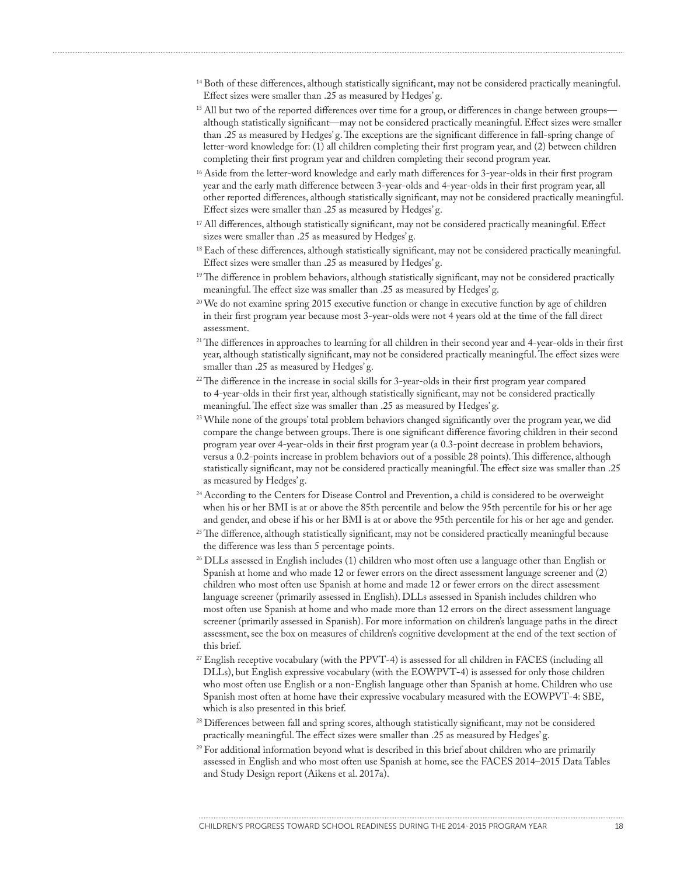- $^{14}$  Both of these differences, although statistically significant, may not be considered practically meaningful. Effect sizes were smaller than .25 as measured by Hedges' g.
- <sup>15</sup> All but two of the reported differences over time for a group, or differences in change between groups although statistically significant—may not be considered practically meaningful. Effect sizes were smaller than .25 as measured by Hedges' g. The exceptions are the significant difference in fall-spring change of letter-word knowledge for: (1) all children completing their first program year, and (2) between children completing their first program year and children completing their second program year.
- Aside from the letter-word knowledge and early math differences for 3-year-olds in their first program 16 year and the early math difference between 3-year-olds and 4-year-olds in their first program year, all other reported differences, although statistically significant, may not be considered practically meaningful. Effect sizes were smaller than .25 as measured by Hedges' g.
- All differences, although statistically significant, may not be considered practically meaningful. Effect 17 sizes were smaller than .25 as measured by Hedges'g.
- $^{18}$  Each of these differences, although statistically significant, may not be considered practically meaningful. Effect sizes were smaller than .25 as measured by Hedges' g.
- <sup>19</sup>The difference in problem behaviors, although statistically significant, may not be considered practically meaningful. The effect size was smaller than .25 as measured by Hedges' g.
- $^{20}$  We do not examine spring 2015 executive function or change in executive function by age of children in their first program year because most 3-year-olds were not 4 years old at the time of the fall direct assessment.
- $2<sup>21</sup>$  The differences in approaches to learning for all children in their second year and 4-year-olds in their first year, although statistically significant, may not be considered practically meaningful. The effect sizes were smaller than .25 as measured by Hedges' g.
- $^{22}$ The difference in the increase in social skills for 3-year-olds in their first program year compared to 4-year-olds in their first year, although statistically significant, may not be considered practically meaningful. The effect size was smaller than .25 as measured by Hedges' g.
- $^{23}$  While none of the groups' total problem behaviors changed significantly over the program year, we did compare the change between groups. There is one significant difference favoring children in their second program year over 4-year-olds in their first program year (a 0.3-point decrease in problem behaviors, versus a 0.2-points increase in problem behaviors out of a possible 28 points). This difference, although statistically significant, may not be considered practically meaningful. The effect size was smaller than .25 as measured by Hedges' g.
- $^{24}$  According to the Centers for Disease Control and Prevention, a child is considered to be overweight when his or her BMI is at or above the 85th percentile and below the 95th percentile for his or her age and gender, and obese if his or her BMI is at or above the 95th percentile for his or her age and gender.
- $^{25}$  The difference, although statistically significant, may not be considered practically meaningful because the difference was less than 5 percentage points.
- $^{26}$  DLLs assessed in English includes (1) children who most often use a language other than English or Spanish at home and who made 12 or fewer errors on the direct assessment language screener and (2) children who most often use Spanish at home and made 12 or fewer errors on the direct assessment language screener (primarily assessed in English). DLLs assessed in Spanish includes children who most often use Spanish at home and who made more than 12 errors on the direct assessment language screener (primarily assessed in Spanish). For more information on children's language paths in the direct assessment, see the box on measures of children's cognitive development at the end of the text section of this brief.
- $\mathbb{Z}^2$  English receptive vocabulary (with the PPVT-4) is assessed for all children in FACES (including all  $\mathbb{Z}$ DLLs), but English expressive vocabulary (with the EOWPVT-4) is assessed for only those children who most often use English or a non-English language other than Spanish at home. Children who use Spanish most often at home have their expressive vocabulary measured with the EOWPVT-4: SBE, which is also presented in this brief.
- <sup>28</sup> Differences between fall and spring scores, although statistically significant, may not be considered practically meaningful. The effect sizes were smaller than .25 as measured by Hedges' g.
- $^{29}$  For additional information beyond what is described in this brief about children who are primarily assessed in English and who most often use Spanish at home, see the FACES 2014–2015 Data Tables and Study Design report (Aikens et al. 2017a).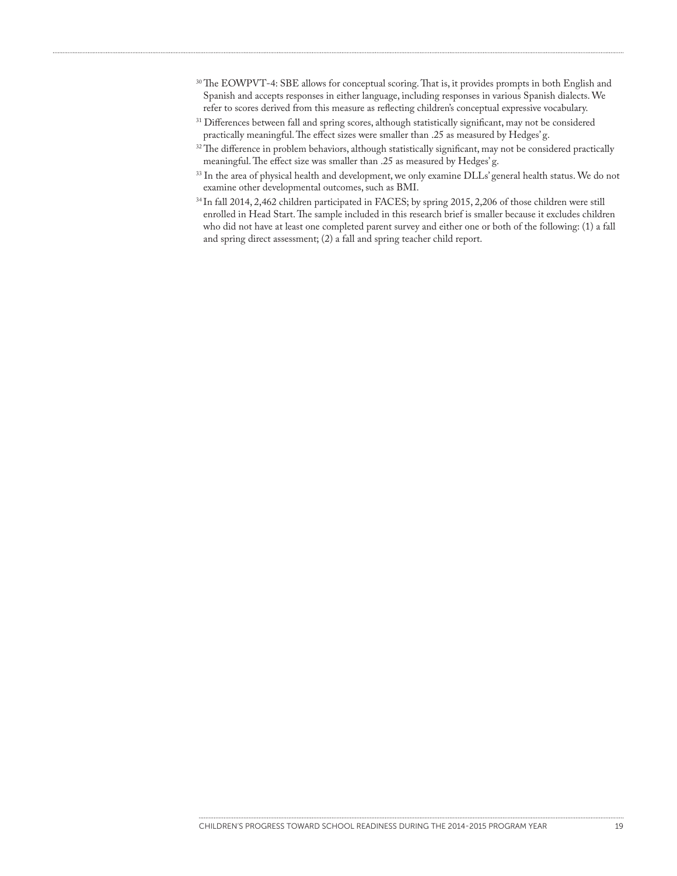- $\rm{^{30}The\ EOWPVT-4:}$  SBE allows for conceptual scoring. That is, it provides prompts in both English and Spanish and accepts responses in either language, including responses in various Spanish dialects. We refer to scores derived from this measure as reflecting children's conceptual expressive vocabulary.
- $\frac{31}{2}$  Differences between fall and spring scores, although statistically significant, may not be considered practically meaningful. The effect sizes were smaller than .25 as measured by Hedges' g.
- $\frac{32}{2}$  The difference in problem behaviors, although statistically significant, may not be considered practically meaningful. The effect size was smaller than .25 as measured by Hedges' g.
- $\frac{33 \text{ In the area of physical health and development, we only examine DLLs' general health status. We do not$ examine other developmental outcomes, such as BMI.
- $34$  In fall 2014, 2,462 children participated in FACES; by spring 2015, 2,206 of those children were still enrolled in Head Start. The sample included in this research brief is smaller because it excludes children who did not have at least one completed parent survey and either one or both of the following: (1) a fall and spring direct assessment; (2) a fall and spring teacher child report.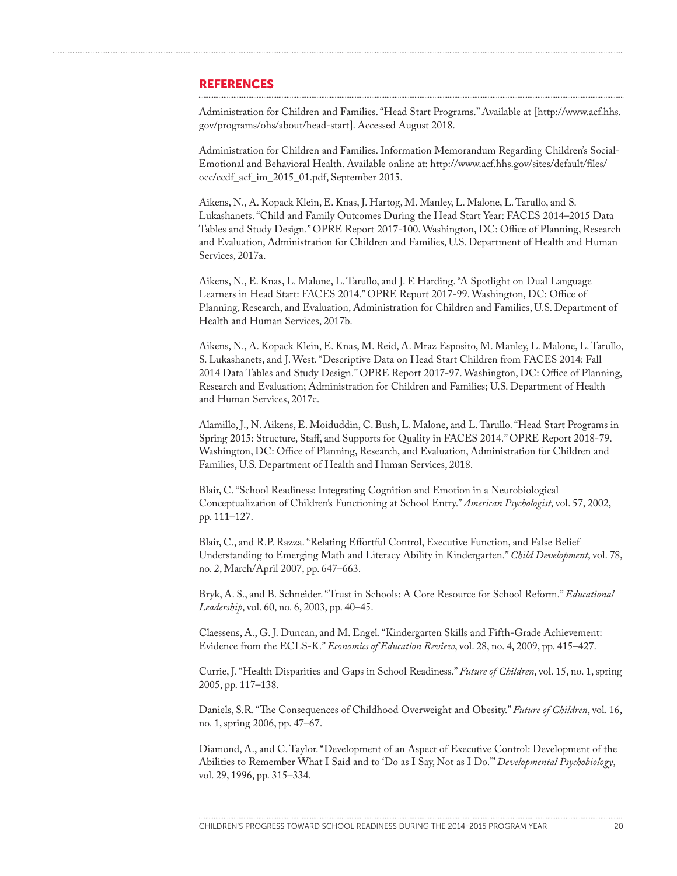#### **REFERENCES**

Administration for Children and Families. "Head Start Programs." Available at [\[http://www.acf.hhs.](http://www.acf.hhs.gov/programs/ohs/about/head-start) [gov/programs/ohs/about/head-start\]](http://www.acf.hhs.gov/programs/ohs/about/head-start). Accessed August 2018.

Administration for Children and Families. Information Memorandum Regarding Children's Social-Emotional and Behavioral Health. Available online at: [http://www.acf.hhs.gov/sites/default/files/](http://www.acf.hhs.gov/sites/default/files/occ/ccdf_acf_im_2015_01.pdf) [occ/ccdf\\_acf\\_im\\_2015\\_01.pdf](http://www.acf.hhs.gov/sites/default/files/occ/ccdf_acf_im_2015_01.pdf), September 2015.

Aikens, N., A. Kopack Klein, E. Knas, J. Hartog, M. Manley, L. Malone, L. Tarullo, and S. Lukashanets. "Child and Family Outcomes During the Head Start Year: FACES 2014–2015 Data Tables and Study Design." OPRE Report 2017-100. Washington, DC: Office of Planning, Research and Evaluation, Administration for Children and Families, U.S. Department of Health and Human Services, 2017a.

Aikens, N., E. Knas, L. Malone, L. Tarullo, and J. F. Harding. "A Spotlight on Dual Language Learners in Head Start: FACES 2014." OPRE Report 2017-99. Washington, DC: Office of Planning, Research, and Evaluation, Administration for Children and Families, U.S. Department of Health and Human Services, 2017b.

Aikens, N., A. Kopack Klein, E. Knas, M. Reid, A. Mraz Esposito, M. Manley, L. Malone, L. Tarullo, S. Lukashanets, and J. West. "Descriptive Data on Head Start Children from FACES 2014: Fall 2014 Data Tables and Study Design." OPRE Report 2017-97. Washington, DC: Office of Planning, Research and Evaluation; Administration for Children and Families; U.S. Department of Health and Human Services, 2017c.

Alamillo, J., N. Aikens, E. Moiduddin, C. Bush, L. Malone, and L. Tarullo. "Head Start Programs in Spring 2015: Structure, Staff, and Supports for Quality in FACES 2014." OPRE Report 2018-79. Washington, DC: Office of Planning, Research, and Evaluation, Administration for Children and Families, U.S. Department of Health and Human Services, 2018.

Blair, C. "School Readiness: Integrating Cognition and Emotion in a Neurobiological Conceptualization of Children's Functioning at School Entry." *American Psychologist*, vol. 57, 2002, pp. 111–127.

Blair, C., and R.P. Razza. "Relating Effortful Control, Executive Function, and False Belief Understanding to Emerging Math and Literacy Ability in Kindergarten." *Child Development*, vol. 78, no. 2, March/April 2007, pp. 647–663.

Bryk, A. S., and B. Schneider. "Trust in Schools: A Core Resource for School Reform." *Educational Leadership*, vol. 60, no. 6, 2003, pp. 40–45.

Claessens, A., G. J. Duncan, and M. Engel. "Kindergarten Skills and Fifth-Grade Achievement: Evidence from the ECLS-K." *Economics of Education Review*, vol. 28, no. 4, 2009, pp. 415–427.

Currie, J. "Health Disparities and Gaps in School Readiness." *Future of Children*, vol. 15, no. 1, spring 2005, pp. 117–138.

Daniels, S.R. "The Consequences of Childhood Overweight and Obesity." *Future of Children*, vol. 16, no. 1, spring 2006, pp. 47–67.

Diamond, A., and C. Taylor. "Development of an Aspect of Executive Control: Development of the Abilities to Remember What I Said and to 'Do as I Say, Not as I Do.'" *Developmental Psychobiology*, vol. 29, 1996, pp. 315–334.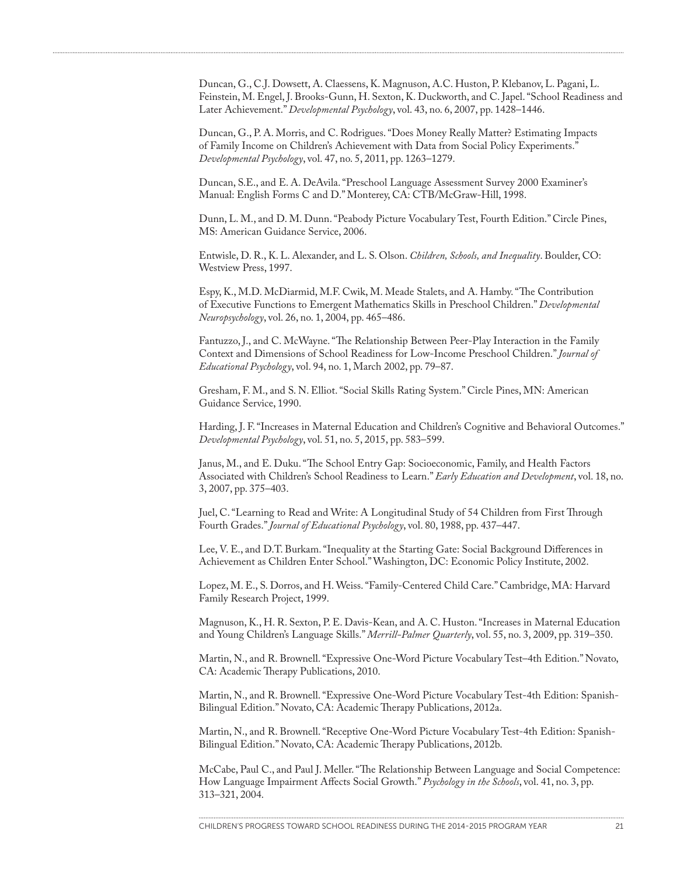Duncan, G., C.J. Dowsett, A. Claessens, K. Magnuson, A.C. Huston, P. Klebanov, L. Pagani, L. Feinstein, M. Engel, J. Brooks-Gunn, H. Sexton, K. Duckworth, and C. Japel. "School Readiness and Later Achievement." *Developmental Psychology*, vol. 43, no. 6, 2007, pp. 1428–1446.

Duncan, G., P. A. Morris, and C. Rodrigues. "Does Money Really Matter? Estimating Impacts of Family Income on Children's Achievement with Data from Social Policy Experiments." *Developmental Psychology*, vol. 47, no. 5, 2011, pp. 1263–1279.

Duncan, S.E., and E. A. DeAvila. "Preschool Language Assessment Survey 2000 Examiner's Manual: English Forms C and D." Monterey, CA: CTB/McGraw-Hill, 1998.

Dunn, L. M., and D. M. Dunn. "Peabody Picture Vocabulary Test, Fourth Edition." Circle Pines, MS: American Guidance Service, 2006.

Entwisle, D. R., K. L. Alexander, and L. S. Olson. *Children, Schools, and Inequality*. Boulder, CO: Westview Press, 1997.

Espy, K., M.D. McDiarmid, M.F. Cwik, M. Meade Stalets, and A. Hamby. "The Contribution of Executive Functions to Emergent Mathematics Skills in Preschool Children." *Developmental Neuropsychology*, vol. 26, no. 1, 2004, pp. 465–486.

Fantuzzo, J., and C. McWayne. "The Relationship Between Peer-Play Interaction in the Family Context and Dimensions of School Readiness for Low-Income Preschool Children." *Journal of Educational Psychology*, vol. 94, no. 1, March 2002, pp. 79–87.

Gresham, F. M., and S. N. Elliot. "Social Skills Rating System." Circle Pines, MN: American Guidance Service, 1990.

Harding, J. F. "Increases in Maternal Education and Children's Cognitive and Behavioral Outcomes." *Developmental Psychology*, vol. 51, no. 5, 2015, pp. 583–599.

Janus, M., and E. Duku. "The School Entry Gap: Socioeconomic, Family, and Health Factors Associated with Children's School Readiness to Learn." *Early Education and Development*, vol. 18, no. 3, 2007, pp. 375–403.

Juel, C. "Learning to Read and Write: A Longitudinal Study of 54 Children from First Through Fourth Grades." *Journal of Educational Psychology*, vol. 80, 1988, pp. 437–447.

Lee, V. E., and D.T. Burkam. "Inequality at the Starting Gate: Social Background Differences in Achievement as Children Enter School." Washington, DC: Economic Policy Institute, 2002.

Lopez, M. E., S. Dorros, and H. Weiss. "Family-Centered Child Care." Cambridge, MA: Harvard Family Research Project, 1999.

Magnuson, K., H. R. Sexton, P. E. Davis-Kean, and A. C. Huston. "Increases in Maternal Education and Young Children's Language Skills." *Merrill-Palmer Quarterly*, vol. 55, no. 3, 2009, pp. 319–350.

Martin, N., and R. Brownell. "Expressive One-Word Picture Vocabulary Test–4th Edition." Novato, CA: Academic Therapy Publications, 2010.

Martin, N., and R. Brownell. "Expressive One-Word Picture Vocabulary Test-4th Edition: Spanish-Bilingual Edition." Novato, CA: Academic Therapy Publications, 2012a.

Martin, N., and R. Brownell. "Receptive One-Word Picture Vocabulary Test-4th Edition: Spanish-Bilingual Edition." Novato, CA: Academic Therapy Publications, 2012b.

McCabe, Paul C., and Paul J. Meller. "The Relationship Between Language and Social Competence: How Language Impairment Affects Social Growth." *Psychology in the Schools*, vol. 41, no. 3, pp. 313–321, 2004.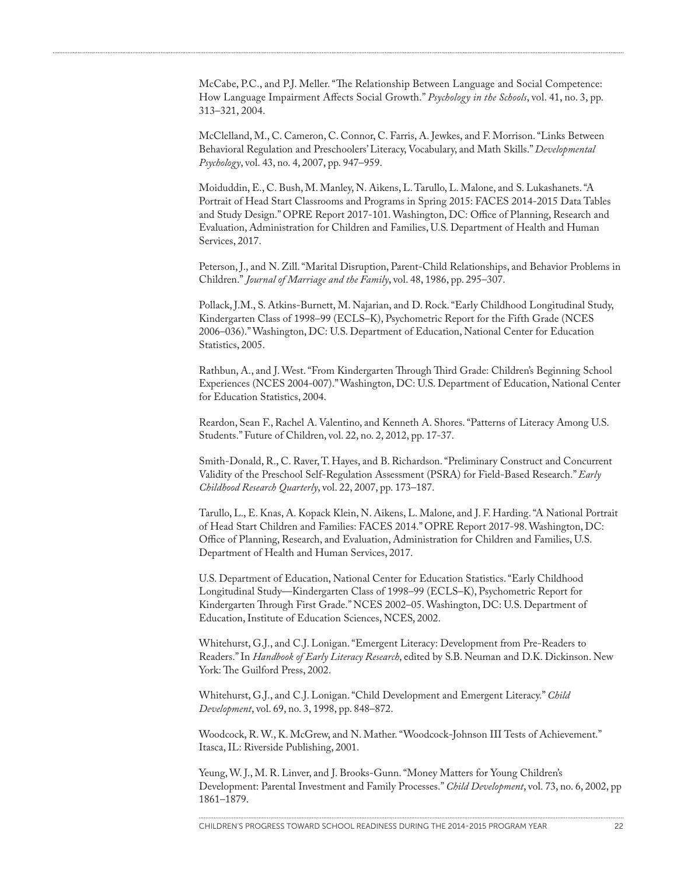McCabe, P.C., and P.J. Meller. "The Relationship Between Language and Social Competence: How Language Impairment Affects Social Growth." *Psychology in the Schools*, vol. 41, no. 3, pp. 313–321, 2004.

McClelland, M., C. Cameron, C. Connor, C. Farris, A. Jewkes, and F. Morrison. "Links Between Behavioral Regulation and Preschoolers' Literacy, Vocabulary, and Math Skills." *Developmental Psychology*, vol. 43, no. 4, 2007, pp. 947–959.

Moiduddin, E., C. Bush, M. Manley, N. Aikens, L. Tarullo, L. Malone, and S. Lukashanets. "A Portrait of Head Start Classrooms and Programs in Spring 2015: FACES 2014-2015 Data Tables and Study Design." OPRE Report 2017-101. Washington, DC: Office of Planning, Research and Evaluation, Administration for Children and Families, U.S. Department of Health and Human Services, 2017.

Peterson, J., and N. Zill. "Marital Disruption, Parent-Child Relationships, and Behavior Problems in Children." *Journal of Marriage and the Family*, vol. 48, 1986, pp. 295–307.

Pollack, J.M., S. Atkins-Burnett, M. Najarian, and D. Rock. "Early Childhood Longitudinal Study, Kindergarten Class of 1998–99 (ECLS–K), Psychometric Report for the Fifth Grade (NCES 2006–036)." Washington, DC: U.S. Department of Education, National Center for Education Statistics, 2005.

Rathbun, A., and J. West. "From Kindergarten Through Third Grade: Children's Beginning School Experiences (NCES 2004-007)." Washington, DC: U.S. Department of Education, National Center for Education Statistics, 2004.

Reardon, Sean F., Rachel A. Valentino, and Kenneth A. Shores. "Patterns of Literacy Among U.S. Students." Future of Children, vol. 22, no. 2, 2012, pp. 17-37.

Smith-Donald, R., C. Raver, T. Hayes, and B. Richardson. "Preliminary Construct and Concurrent Validity of the Preschool Self-Regulation Assessment (PSRA) for Field-Based Research." *Early Childhood Research Quarterly*, vol. 22, 2007, pp. 173–187.

Tarullo, L., E. Knas, A. Kopack Klein, N. Aikens, L. Malone, and J. F. Harding. "A National Portrait of Head Start Children and Families: FACES 2014." OPRE Report 2017-98. Washington, DC: Office of Planning, Research, and Evaluation, Administration for Children and Families, U.S. Department of Health and Human Services, 2017.

U.S. Department of Education, National Center for Education Statistics. "Early Childhood Longitudinal Study—Kindergarten Class of 1998–99 (ECLS–K), Psychometric Report for Kindergarten Through First Grade." NCES 2002–05. Washington, DC: U.S. Department of Education, Institute of Education Sciences, NCES, 2002.

Whitehurst, G.J., and C.J. Lonigan. "Emergent Literacy: Development from Pre-Readers to Readers." In *Handbook of Early Literacy Research*, edited by S.B. Neuman and D.K. Dickinson. New York: The Guilford Press, 2002.

Whitehurst, G.J., and C.J. Lonigan. "Child Development and Emergent Literacy." *Child Development*, vol. 69, no. 3, 1998, pp. 848–872.

Woodcock, R. W., K. McGrew, and N. Mather. "Woodcock-Johnson III Tests of Achievement." Itasca, IL: Riverside Publishing, 2001.

Yeung, W. J., M. R. Linver, and J. Brooks-Gunn. "Money Matters for Young Children's Development: Parental Investment and Family Processes." *Child Development*, vol. 73, no. 6, 2002, pp 1861–1879.